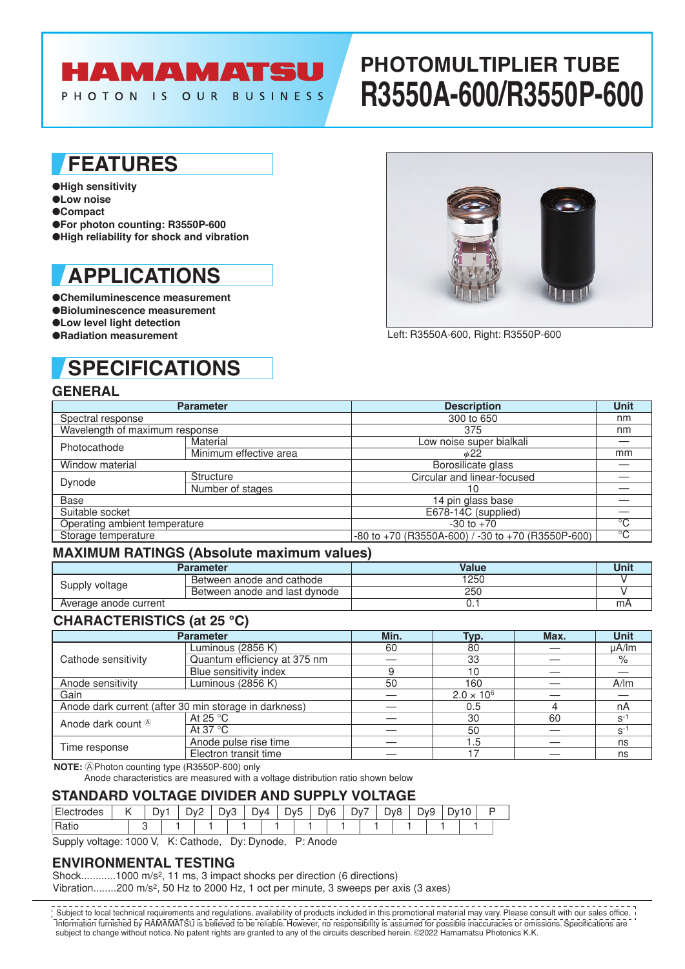# HAMAMATSU

PHOTON IS OUR BUSINESS

# **PHOTOMULTIPLIER TUBE R3550A-600/R3550P-600**

### **FEATURES**

- ●**High sensitivity**
- ●**Low noise**
- ●**Compact**
- ●**For photon counting: R3550P-600**
- ●**High reliability for shock and vibration**

### **APPLICATIONS**

●**Chemiluminescence measurement** ●**Bioluminescence measurement** ●**Low level light detection** ●**Radiation measurement**

# **SPECIFICATIONS**

### **GENERAL**

|                                | <b>Parameter</b>       | <b>Description</b>                                      | <b>Unit</b> |  |  |  |  |  |  |
|--------------------------------|------------------------|---------------------------------------------------------|-------------|--|--|--|--|--|--|
| Spectral response              |                        | 300 to 650                                              | nm          |  |  |  |  |  |  |
| Wavelength of maximum response |                        | 375                                                     | nm          |  |  |  |  |  |  |
| Photocathode                   | Material               | Low noise super bialkali                                |             |  |  |  |  |  |  |
|                                | Minimum effective area | $\phi$ 22                                               | mm          |  |  |  |  |  |  |
| Window material                |                        | Borosilicate glass                                      |             |  |  |  |  |  |  |
| Dynode                         | Structure              | Circular and linear-focused                             |             |  |  |  |  |  |  |
|                                | Number of stages       | 10                                                      |             |  |  |  |  |  |  |
| <b>Base</b>                    |                        | 14 pin glass base                                       |             |  |  |  |  |  |  |
| Suitable socket                |                        | E678-14C (supplied)                                     |             |  |  |  |  |  |  |
| Operating ambient temperature  |                        | $-30$ to $+70$                                          | °C          |  |  |  |  |  |  |
| Storage temperature            |                        | $-80$ to $+70$ (R3550A-600) / -30 to $+70$ (R3550P-600) | $^{\circ}C$ |  |  |  |  |  |  |

#### **MAXIMUM RATINGS (Absolute maximum values)**

|                       | Parameter                     | Value | Unit |
|-----------------------|-------------------------------|-------|------|
| Supply voltage        | Between anode and cathode     | 1250  |      |
|                       | Between anode and last dynode | 250   |      |
| Average anode current |                               |       | mA   |

#### **CHARACTERISTICS (at 25 °C)**

| <b>Parameter</b>                                      | Min.                         | Typ.                | Max. | <b>Unit</b> |                  |
|-------------------------------------------------------|------------------------------|---------------------|------|-------------|------------------|
|                                                       | Luminous (2856 K)            | 60                  | 80   |             | $\mu$ A/lm       |
| Cathode sensitivity                                   | Quantum efficiency at 375 nm |                     | 33   |             | %                |
|                                                       | Blue sensitivity index       |                     | 10   |             |                  |
| Anode sensitivity                                     | Luminous (2856 K)            | 50                  | 160  |             | A/m              |
| Gain                                                  |                              | $2.0 \times 10^{6}$ |      |             |                  |
| Anode dark current (after 30 min storage in darkness) |                              | 0.5                 |      | nA          |                  |
| Anode dark count <sup>®</sup>                         | At 25 $\degree$ C            |                     | 30   | 60          | $S$ <sup>-</sup> |
|                                                       | At 37 $\degree$ C            |                     | 50   |             | $S^{\prime}$     |
| Time response                                         | Anode pulse rise time        |                     | 1.5  |             | ns               |
|                                                       | Electron transit time        |                     |      |             | ns               |

**NOTE:** APhoton counting type (R3550P-600) only

Anode characteristics are measured with a voltage distribution ratio shown below

#### **STANDARD VOLTAGE DIVIDER AND SUPPLY VOLTAGE**

| 162 | . . | $\mathcal{U}$<br>– | $\overline{\phantom{0}}$<br>–<br>$\mathbf{u}$<br>◡ | י∨יΩ<br>ັ | $\overline{1} \vee 4$ | )vŀ<br>╺ | —<br>◡ | างค<br>◡ | –<br>D۷ | $\overline{\phantom{0}}$<br>יע∽ | $\neg$ o | $\overline{\phantom{a}}$<br>ت - | ١v | $\overline{\phantom{a}}$ |  |
|-----|-----|--------------------|----------------------------------------------------|-----------|-----------------------|----------|--------|----------|---------|---------------------------------|----------|---------------------------------|----|--------------------------|--|
| ∽   |     |                    |                                                    |           |                       |          |        |          |         |                                 |          |                                 |    |                          |  |

Supply voltage: 1000 V, K: Cathode, Dy: Dynode, P: Anode

#### **ENVIRONMENTAL TESTING**

Shock............1000 m/s<sup>2</sup>, 11 ms, 3 impact shocks per direction (6 directions)

Vibration........200 m/s<sup>2</sup>, 50 Hz to 2000 Hz, 1 oct per minute, 3 sweeps per axis (3 axes)

Information furnished by HAMAMATSU is believed to be reliable. However, no responsibility is assumed for possible inaccuracies or omissions. Specifications are subject to change without notice. No patent rights are granted to any of the circuits described herein. ©2022 Hamamatsu Photonics K.K. Subject to local technical requirements and regulations, availability of products included in this promotional material may vary. Please consult with our sales office.



Left: R3550A-600, Right: R3550P-600